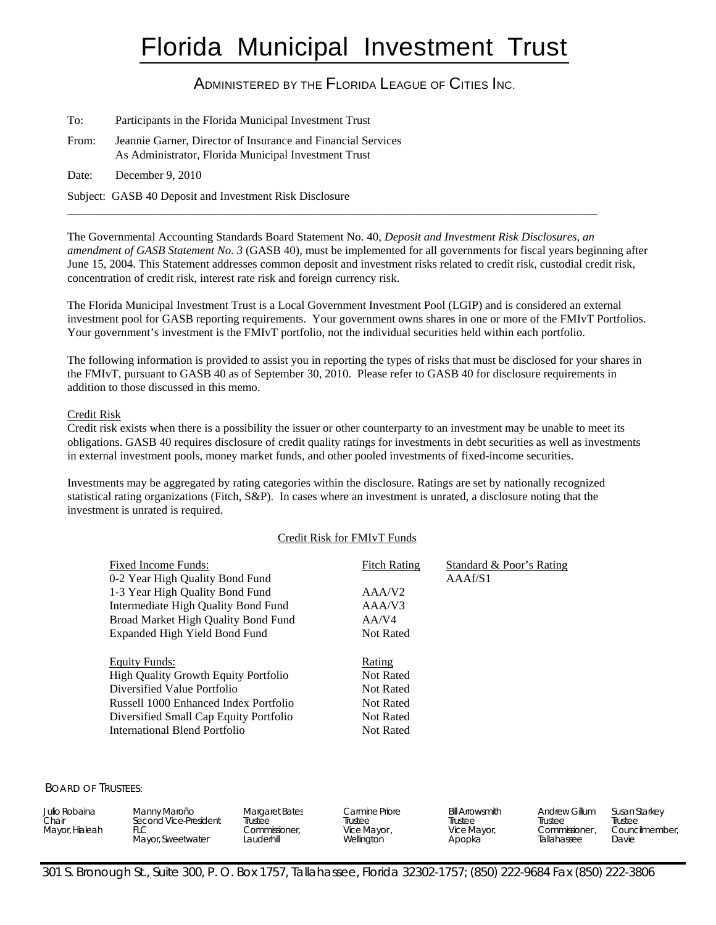# Florida Municipal Investment Trust

# ADMINISTERED BY THE FLORIDA LEAGUE OF CITIES INC.

| To:   | Participants in the Florida Municipal Investment Trust                                                               |
|-------|----------------------------------------------------------------------------------------------------------------------|
| From: | Jeannie Garner, Director of Insurance and Financial Services<br>As Administrator, Florida Municipal Investment Trust |
| Date: | December $9, 2010$                                                                                                   |
|       | Subject: GASB 40 Deposit and Investment Risk Disclosure                                                              |

The Governmental Accounting Standards Board Statement No. 40, *Deposit and Investment Risk Disclosures, an amendment of GASB Statement No. 3* (GASB 40), must be implemented for all governments for fiscal years beginning after June 15, 2004. This Statement addresses common deposit and investment risks related to credit risk, custodial credit risk, concentration of credit risk, interest rate risk and foreign currency risk.

\_\_\_\_\_\_\_\_\_\_\_\_\_\_\_\_\_\_\_\_\_\_\_\_\_\_\_\_\_\_\_\_\_\_\_\_\_\_\_\_\_\_\_\_\_\_\_\_\_\_\_\_\_\_\_\_\_\_\_\_\_\_\_\_\_\_\_\_\_\_\_\_\_\_\_\_\_\_\_\_\_\_\_\_\_\_\_\_\_\_

The Florida Municipal Investment Trust is a Local Government Investment Pool (LGIP) and is considered an external investment pool for GASB reporting requirements. Your government owns shares in one or more of the FMIvT Portfolios. Your government's investment is the FMIvT portfolio, not the individual securities held within each portfolio.

The following information is provided to assist you in reporting the types of risks that must be disclosed for your shares in the FMIvT, pursuant to GASB 40 as of September 30, 2010. Please refer to GASB 40 for disclosure requirements in addition to those discussed in this memo.

# Credit Risk

Credit risk exists when there is a possibility the issuer or other counterparty to an investment may be unable to meet its obligations. GASB 40 requires disclosure of credit quality ratings for investments in debt securities as well as investments in external investment pools, money market funds, and other pooled investments of fixed-income securities.

Investments may be aggregated by rating categories within the disclosure. Ratings are set by nationally recognized statistical rating organizations (Fitch, S&P). In cases where an investment is unrated, a disclosure noting that the investment is unrated is required.

# Credit Risk for FMIvT Funds

| Fixed Income Funds:<br>0-2 Year High Quality Bond Fund<br>1-3 Year High Quality Bond Fund<br>Intermediate High Quality Bond Fund<br>Broad Market High Quality Bond Fund<br>Expanded High Yield Bond Fund        | <b>Fitch Rating</b><br>AAA/V <sub>2</sub><br>AA/VA<br>AA/V4<br><b>Not Rated</b>       | Standard & Poor's Rating<br>AAAf/S1 |
|-----------------------------------------------------------------------------------------------------------------------------------------------------------------------------------------------------------------|---------------------------------------------------------------------------------------|-------------------------------------|
| Equity Funds:<br><b>High Quality Growth Equity Portfolio</b><br>Diversified Value Portfolio<br>Russell 1000 Enhanced Index Portfolio<br>Diversified Small Cap Equity Portfolio<br>International Blend Portfolio | Rating<br><b>Not Rated</b><br>Not Rated<br>Not Rated<br><b>Not Rated</b><br>Not Rated |                                     |

BOARD OF TRUSTEES:

| Julio Robaina<br>Chair<br>Mayor, Hialeah | Manny Maroño<br>Second Vice-President<br>FLC<br>Mayor, Sweetwater | Margaret Bates<br>Trustee<br>Commissioner,<br>Lauderhill | Carmine Priore<br>Trustee<br>Vice Mayor,<br>Wellington | Bill Arrowsmith<br>Trustee<br>Vice Mayor,<br>Apopka | <b>Andrew Gillum</b><br>Trustee<br>Commissioner<br>Tallahassee | Susan Starkey<br>Trustee<br>Councilmember.<br>Davie |
|------------------------------------------|-------------------------------------------------------------------|----------------------------------------------------------|--------------------------------------------------------|-----------------------------------------------------|----------------------------------------------------------------|-----------------------------------------------------|
|------------------------------------------|-------------------------------------------------------------------|----------------------------------------------------------|--------------------------------------------------------|-----------------------------------------------------|----------------------------------------------------------------|-----------------------------------------------------|

301 S. Bronough St., Suite 300, P. O. Box 1757, Tallahassee, Florida 32302-1757; (850) 222-9684 Fax (850) 222-3806